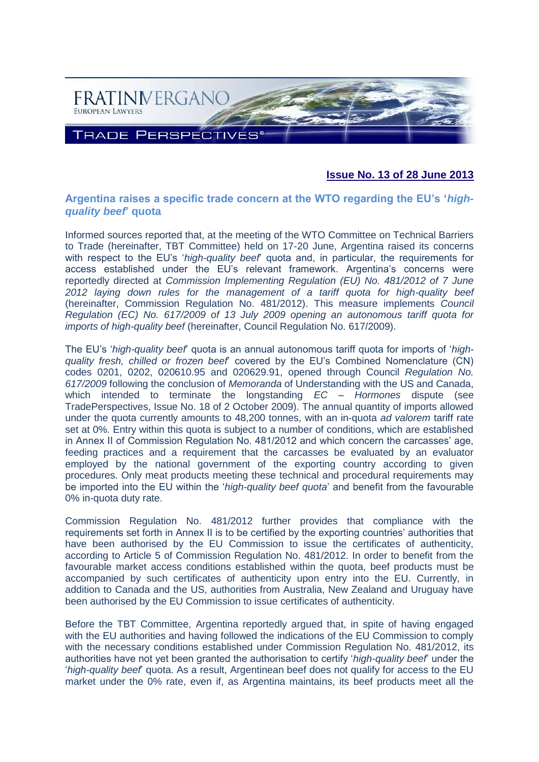

# **Issue No. 13 of 28 June 2013**

## **Argentina raises a specific trade concern at the WTO regarding the EU's '***highquality beef***' quota**

Informed sources reported that, at the meeting of the WTO Committee on Technical Barriers to Trade (hereinafter, TBT Committee) held on 17-20 June, Argentina raised its concerns with respect to the EU's '*high-quality beef*' quota and, in particular, the requirements for access established under the EU's relevant framework. Argentina's concerns were reportedly directed at *Commission Implementing Regulation (EU) No. 481/2012 of 7 June 2012 laying down rules for the management of a tariff quota for high-quality beef* (hereinafter, Commission Regulation No. 481/2012). This measure implements *Council Regulation (EC) No. 617/2009 of 13 July 2009 opening an autonomous tariff quota for imports of high-quality beef* (hereinafter, Council Regulation No. 617/2009).

The EU's '*high-quality beef*' quota is an annual autonomous tariff quota for imports of '*highquality fresh, chilled or frozen beef*' covered by the EU's Combined Nomenclature (CN) codes 0201, 0202, 020610.95 and 020629.91, opened through Council *Regulation No. 617/2009* following the conclusion of *Memoranda* of Understanding with the US and Canada, which intended to terminate the longstanding *EC – Hormones* dispute (see TradePerspectives, Issue No. 18 of 2 October 2009). The annual quantity of imports allowed under the quota currently amounts to 48,200 tonnes, with an in-quota *ad valorem* tariff rate set at 0%. Entry within this quota is subject to a number of conditions, which are established in Annex II of Commission Regulation No. 481/2012 and which concern the carcasses' age, feeding practices and a requirement that the carcasses be evaluated by an evaluator employed by the national government of the exporting country according to given procedures. Only meat products meeting these technical and procedural requirements may be imported into the EU within the '*high-quality beef quota*' and benefit from the favourable 0% in-quota duty rate.

Commission Regulation No. 481/2012 further provides that compliance with the requirements set forth in Annex II is to be certified by the exporting countries' authorities that have been authorised by the EU Commission to issue the certificates of authenticity, according to Article 5 of Commission Regulation No. 481/2012. In order to benefit from the favourable market access conditions established within the quota, beef products must be accompanied by such certificates of authenticity upon entry into the EU. Currently, in addition to Canada and the US, authorities from Australia, New Zealand and Uruguay have been authorised by the EU Commission to issue certificates of authenticity.

Before the TBT Committee, Argentina reportedly argued that, in spite of having engaged with the EU authorities and having followed the indications of the EU Commission to comply with the necessary conditions established under Commission Regulation No. 481/2012, its authorities have not yet been granted the authorisation to certify '*high-quality beef*' under the '*high-quality beef*' quota. As a result, Argentinean beef does not qualify for access to the EU market under the 0% rate, even if, as Argentina maintains, its beef products meet all the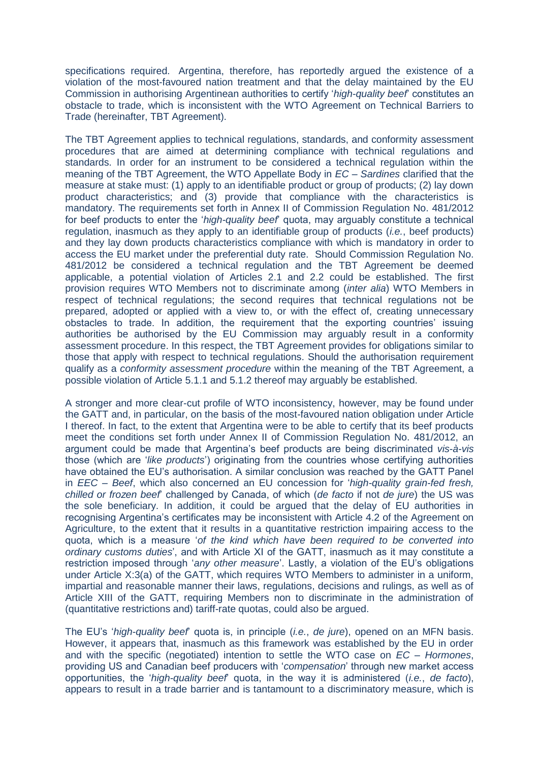specifications required. Argentina, therefore, has reportedly argued the existence of a violation of the most-favoured nation treatment and that the delay maintained by the EU Commission in authorising Argentinean authorities to certify '*high-quality beef*' constitutes an obstacle to trade, which is inconsistent with the WTO Agreement on Technical Barriers to Trade (hereinafter, TBT Agreement).

The TBT Agreement applies to technical regulations, standards, and conformity assessment procedures that are aimed at determining compliance with technical regulations and standards. In order for an instrument to be considered a technical regulation within the meaning of the TBT Agreement, the WTO Appellate Body in *EC – Sardines* clarified that the measure at stake must: (1) apply to an identifiable product or group of products; (2) lay down product characteristics; and (3) provide that compliance with the characteristics is mandatory. The requirements set forth in Annex II of Commission Regulation No. 481/2012 for beef products to enter the '*high-quality beef*' quota, may arguably constitute a technical regulation, inasmuch as they apply to an identifiable group of products (*i.e.*, beef products) and they lay down products characteristics compliance with which is mandatory in order to access the EU market under the preferential duty rate. Should Commission Regulation No. 481/2012 be considered a technical regulation and the TBT Agreement be deemed applicable, a potential violation of Articles 2.1 and 2.2 could be established. The first provision requires WTO Members not to discriminate among (*inter alia*) WTO Members in respect of technical regulations; the second requires that technical regulations not be prepared, adopted or applied with a view to, or with the effect of, creating unnecessary obstacles to trade. In addition, the requirement that the exporting countries' issuing authorities be authorised by the EU Commission may arguably result in a conformity assessment procedure. In this respect, the TBT Agreement provides for obligations similar to those that apply with respect to technical regulations. Should the authorisation requirement qualify as a *conformity assessment procedure* within the meaning of the TBT Agreement, a possible violation of Article 5.1.1 and 5.1.2 thereof may arguably be established.

A stronger and more clear-cut profile of WTO inconsistency, however, may be found under the GATT and, in particular, on the basis of the most-favoured nation obligation under Article I thereof. In fact, to the extent that Argentina were to be able to certify that its beef products meet the conditions set forth under Annex II of Commission Regulation No. 481/2012, an argument could be made that Argentina's beef products are being discriminated *vis-à-vis* those (which are '*like products*') originating from the countries whose certifying authorities have obtained the EU's authorisation. A similar conclusion was reached by the GATT Panel in *EEC – Beef*, which also concerned an EU concession for '*high-quality grain-fed fresh, chilled or frozen beef*' challenged by Canada, of which (*de facto* if not *de jure*) the US was the sole beneficiary. In addition, it could be argued that the delay of EU authorities in recognising Argentina's certificates may be inconsistent with Article 4.2 of the Agreement on Agriculture, to the extent that it results in a quantitative restriction impairing access to the quota, which is a measure '*of the kind which have been required to be converted into ordinary customs duties*', and with Article XI of the GATT, inasmuch as it may constitute a restriction imposed through '*any other measure*'. Lastly, a violation of the EU's obligations under Article X:3(a) of the GATT, which requires WTO Members to administer in a uniform, impartial and reasonable manner their laws, regulations, decisions and rulings, as well as of Article XIII of the GATT, requiring Members non to discriminate in the administration of (quantitative restrictions and) tariff-rate quotas, could also be argued.

The EU's '*high-quality beef*' quota is, in principle (*i.e.*, *de jure*), opened on an MFN basis. However, it appears that, inasmuch as this framework was established by the EU in order and with the specific (negotiated) intention to settle the WTO case on *EC – Hormones*, providing US and Canadian beef producers with '*compensation*' through new market access opportunities, the '*high-quality beef*' quota, in the way it is administered (*i.e.*, *de facto*), appears to result in a trade barrier and is tantamount to a discriminatory measure, which is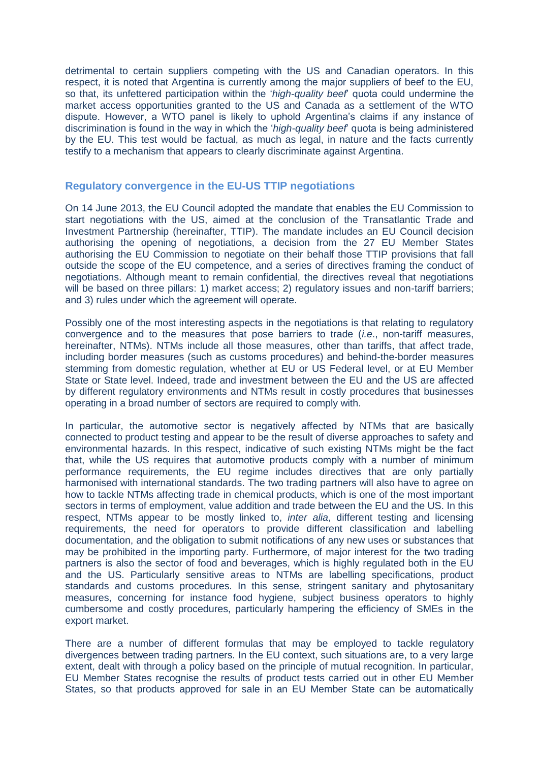detrimental to certain suppliers competing with the US and Canadian operators. In this respect, it is noted that Argentina is currently among the major suppliers of beef to the EU, so that, its unfettered participation within the '*high-quality beef*' quota could undermine the market access opportunities granted to the US and Canada as a settlement of the WTO dispute. However, a WTO panel is likely to uphold Argentina's claims if any instance of discrimination is found in the way in which the '*high-quality beef*' quota is being administered by the EU. This test would be factual, as much as legal, in nature and the facts currently testify to a mechanism that appears to clearly discriminate against Argentina.

### **Regulatory convergence in the EU-US TTIP negotiations**

On 14 June 2013, the EU Council adopted the mandate that enables the EU Commission to start negotiations with the US, aimed at the conclusion of the Transatlantic Trade and Investment Partnership (hereinafter, TTIP). The mandate includes an EU Council decision authorising the opening of negotiations, a decision from the 27 EU Member States authorising the EU Commission to negotiate on their behalf those TTIP provisions that fall outside the scope of the EU competence, and a series of directives framing the conduct of negotiations. Although meant to remain confidential, the directives reveal that negotiations will be based on three pillars: 1) market access; 2) regulatory issues and non-tariff barriers; and 3) rules under which the agreement will operate.

Possibly one of the most interesting aspects in the negotiations is that relating to regulatory convergence and to the measures that pose barriers to trade (*i.e*., non-tariff measures, hereinafter, NTMs). NTMs include all those measures, other than tariffs, that affect trade, including border measures (such as customs procedures) and behind-the-border measures stemming from domestic regulation, whether at EU or US Federal level, or at EU Member State or State level. Indeed, trade and investment between the EU and the US are affected by different regulatory environments and NTMs result in costly procedures that businesses operating in a broad number of sectors are required to comply with.

In particular, the automotive sector is negatively affected by NTMs that are basically connected to product testing and appear to be the result of diverse approaches to safety and environmental hazards. In this respect, indicative of such existing NTMs might be the fact that, while the US requires that automotive products comply with a number of minimum performance requirements, the EU regime includes directives that are only partially harmonised with international standards. The two trading partners will also have to agree on how to tackle NTMs affecting trade in chemical products, which is one of the most important sectors in terms of employment, value addition and trade between the EU and the US. In this respect, NTMs appear to be mostly linked to, *inter alia*, different testing and licensing requirements, the need for operators to provide different classification and labelling documentation, and the obligation to submit notifications of any new uses or substances that may be prohibited in the importing party. Furthermore, of major interest for the two trading partners is also the sector of food and beverages, which is highly regulated both in the EU and the US. Particularly sensitive areas to NTMs are labelling specifications, product standards and customs procedures. In this sense, stringent sanitary and phytosanitary measures, concerning for instance food hygiene, subject business operators to highly cumbersome and costly procedures, particularly hampering the efficiency of SMEs in the export market.

There are a number of different formulas that may be employed to tackle regulatory divergences between trading partners. In the EU context, such situations are, to a very large extent, dealt with through a policy based on the principle of mutual recognition. In particular, EU Member States recognise the results of product tests carried out in other EU Member States, so that products approved for sale in an EU Member State can be automatically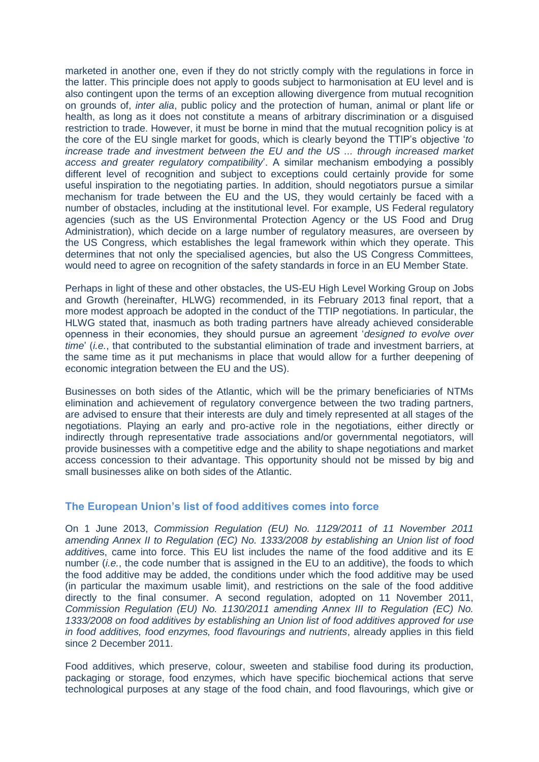marketed in another one, even if they do not strictly comply with the regulations in force in the latter. This principle does not apply to goods subject to harmonisation at EU level and is also contingent upon the terms of an exception allowing divergence from mutual recognition on grounds of, *inter alia*, public policy and the protection of human, animal or plant life or health, as long as it does not constitute a means of arbitrary discrimination or a disguised restriction to trade. However, it must be borne in mind that the mutual recognition policy is at the core of the EU single market for goods, which is clearly beyond the TTIP's objective '*to increase trade and investment between the EU and the US ... through increased market access and greater regulatory compatibility*'. A similar mechanism embodying a possibly different level of recognition and subject to exceptions could certainly provide for some useful inspiration to the negotiating parties. In addition, should negotiators pursue a similar mechanism for trade between the EU and the US, they would certainly be faced with a number of obstacles, including at the institutional level. For example, US Federal regulatory agencies (such as the US Environmental Protection Agency or the US Food and Drug Administration), which decide on a large number of regulatory measures, are overseen by the US Congress, which establishes the legal framework within which they operate. This determines that not only the specialised agencies, but also the US Congress Committees, would need to agree on recognition of the safety standards in force in an EU Member State.

Perhaps in light of these and other obstacles, the US-EU High Level Working Group on Jobs and Growth (hereinafter, HLWG) recommended, in its February 2013 final report, that a more modest approach be adopted in the conduct of the TTIP negotiations. In particular, the HLWG stated that, inasmuch as both trading partners have already achieved considerable openness in their economies, they should pursue an agreement '*designed to evolve over time*' (*i.e.*, that contributed to the substantial elimination of trade and investment barriers, at the same time as it put mechanisms in place that would allow for a further deepening of economic integration between the EU and the US).

Businesses on both sides of the Atlantic, which will be the primary beneficiaries of NTMs elimination and achievement of regulatory convergence between the two trading partners, are advised to ensure that their interests are duly and timely represented at all stages of the negotiations. Playing an early and pro-active role in the negotiations, either directly or indirectly through representative trade associations and/or governmental negotiators, will provide businesses with a competitive edge and the ability to shape negotiations and market access concession to their advantage. This opportunity should not be missed by big and small businesses alike on both sides of the Atlantic.

## **The European Union's list of food additives comes into force**

On 1 June 2013, *Commission Regulation (EU) No. 1129/2011 of 11 November 2011 amending Annex II to Regulation (EC) No. 1333/2008 by establishing an Union list of food additive*s, came into force. This EU list includes the name of the food additive and its E number *(i.e.*, the code number that is assigned in the EU to an additive), the foods to which the food additive may be added, the conditions under which the food additive may be used (in particular the maximum usable limit), and restrictions on the sale of the food additive directly to the final consumer. A second regulation, adopted on 11 November 2011, *Commission Regulation (EU) No. 1130/2011 amending Annex III to Regulation (EC) No. 1333/2008 on food additives by establishing an Union list of food additives approved for use in food additives, food enzymes, food flavourings and nutrients*, already applies in this field since 2 December 2011.

Food additives, which preserve, colour, sweeten and stabilise food during its production, packaging or storage, food enzymes, which have specific biochemical actions that serve technological purposes at any stage of the food chain, and food flavourings, which give or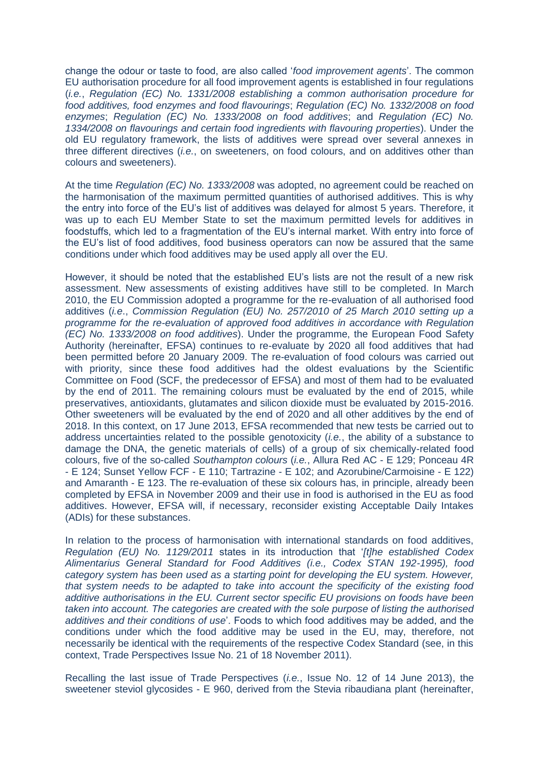change the odour or taste to food, are also called '*food improvement agents*'. The common EU authorisation procedure for all food improvement agents is established in four regulations (*i.e.*, *Regulation (EC) No. 1331/2008 establishing a common authorisation procedure for food additives, food enzymes and food flavourings*; *Regulation (EC) No. 1332/2008 on food enzymes*; *Regulation (EC) No. 1333/2008 on food additives*; and *Regulation (EC) No. 1334/2008 on flavourings and certain food ingredients with flavouring properties*). Under the old EU regulatory framework, the lists of additives were spread over several annexes in three different directives (*i.e.*, on sweeteners, on food colours, and on additives other than colours and sweeteners).

At the time *Regulation (EC) No. 1333/2008* was adopted, no agreement could be reached on the harmonisation of the maximum permitted quantities of authorised additives. This is why the entry into force of the EU's list of additives was delayed for almost 5 years. Therefore, it was up to each EU Member State to set the maximum permitted levels for additives in foodstuffs, which led to a fragmentation of the EU's internal market. With entry into force of the EU's list of food additives, food business operators can now be assured that the same conditions under which food additives may be used apply all over the EU.

However, it should be noted that the established EU's lists are not the result of a new risk assessment. New assessments of existing additives have still to be completed. In March 2010, the EU Commission adopted a programme for the re-evaluation of all authorised food additives (*i.e*., *Commission Regulation (EU) No. 257/2010 of 25 March 2010 setting up a programme for the re-evaluation of approved food additives in accordance with Regulation (EC) No. 1333/2008 on food additives*). Under the programme, the European Food Safety Authority (hereinafter, EFSA) continues to re-evaluate by 2020 all food additives that had been permitted before 20 January 2009. The re-evaluation of food colours was carried out with priority, since these food additives had the oldest evaluations by the Scientific Committee on Food (SCF, the predecessor of EFSA) and most of them had to be evaluated by the end of 2011. The remaining colours must be evaluated by the end of 2015, while preservatives, antioxidants, glutamates and silicon dioxide must be evaluated by 2015-2016. Other sweeteners will be evaluated by the end of 2020 and all other additives by the end of 2018. In this context, on 17 June 2013, EFSA recommended that new tests be carried out to address uncertainties related to the possible genotoxicity (*i.e.*, the ability of a substance to damage the DNA, the genetic materials of cells) of a group of six chemically-related food colours, five of the so-called *Southampton colours* (*i.e.*, Allura Red AC - E 129; Ponceau 4R - E 124; Sunset Yellow FCF - E 110; Tartrazine - E 102; and Azorubine/Carmoisine - E 122) and Amaranth - E 123. The re-evaluation of these six colours has, in principle, already been completed by EFSA in November 2009 and their use in food is authorised in the EU as food additives. However, EFSA will, if necessary, reconsider existing Acceptable Daily Intakes (ADIs) for these substances.

In relation to the process of harmonisation with international standards on food additives, *Regulation (EU) No. 1129/2011* states in its introduction that '*[t]he established Codex Alimentarius General Standard for Food Additives (i.e., Codex STAN 192-1995), food category system has been used as a starting point for developing the EU system. However, that system needs to be adapted to take into account the specificity of the existing food additive authorisations in the EU. Current sector specific EU provisions on foods have been taken into account. The categories are created with the sole purpose of listing the authorised additives and their conditions of use*'. Foods to which food additives may be added, and the conditions under which the food additive may be used in the EU, may, therefore, not necessarily be identical with the requirements of the respective Codex Standard (see, in this context, Trade Perspectives Issue No. 21 of 18 November 2011).

Recalling the last issue of Trade Perspectives (*i.e.*, Issue No. 12 of 14 June 2013), the sweetener steviol glycosides - E 960, derived from the Stevia ribaudiana plant (hereinafter,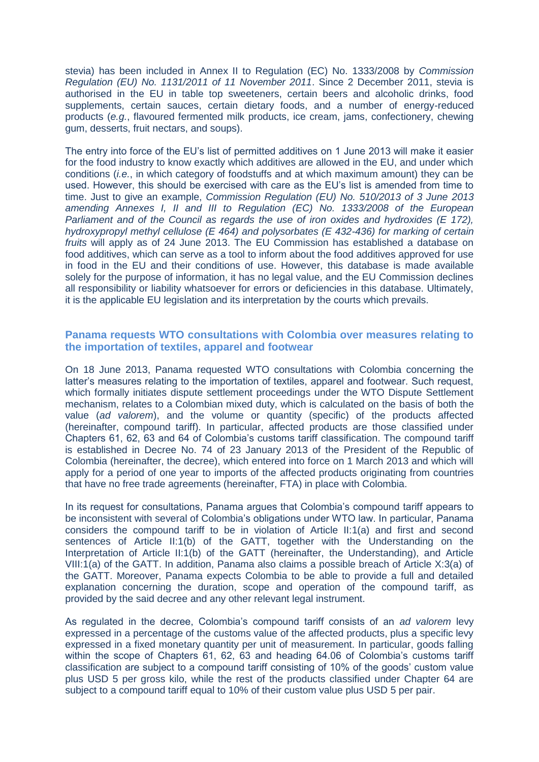stevia) has been included in Annex II to Regulation (EC) No. 1333/2008 by *Commission Regulation (EU) No. 1131/2011 of 11 November 2011*. Since 2 December 2011, stevia is authorised in the EU in table top sweeteners, certain beers and alcoholic drinks, food supplements, certain sauces, certain dietary foods, and a number of energy-reduced products (*e.g.*, flavoured fermented milk products, ice cream, jams, confectionery, chewing gum, desserts, fruit nectars, and soups).

The entry into force of the EU's list of permitted additives on 1 June 2013 will make it easier for the food industry to know exactly which additives are allowed in the EU, and under which conditions (*i.e.*, in which category of foodstuffs and at which maximum amount) they can be used. However, this should be exercised with care as the EU's list is amended from time to time. Just to give an example, *Commission Regulation (EU) No. 510/2013 of 3 June 2013 amending Annexes I, II and III to Regulation (EC) No. 1333/2008 of the European Parliament and of the Council as regards the use of iron oxides and hydroxides (E 172), hydroxypropyl methyl cellulose (E 464) and polysorbates (E 432-436) for marking of certain fruits* will apply as of 24 June 2013. The EU Commission has established a database on food additives, which can serve as a tool to inform about the food additives approved for use in food in the EU and their conditions of use. However, this database is made available solely for the purpose of information, it has no legal value, and the EU Commission declines all responsibility or liability whatsoever for errors or deficiencies in this database. Ultimately, it is the applicable EU legislation and its interpretation by the courts which prevails.

### **Panama requests WTO consultations with Colombia over measures relating to the importation of textiles, apparel and footwear**

On 18 June 2013, Panama requested WTO consultations with Colombia concerning the latter's measures relating to the importation of textiles, apparel and footwear. Such request, which formally initiates dispute settlement proceedings under the WTO Dispute Settlement mechanism, relates to a Colombian mixed duty, which is calculated on the basis of both the value (*ad valorem*), and the volume or quantity (specific) of the products affected (hereinafter, compound tariff). In particular, affected products are those classified under Chapters 61, 62, 63 and 64 of Colombia's customs tariff classification. The compound tariff is established in Decree No. 74 of 23 January 2013 of the President of the Republic of Colombia (hereinafter, the decree), which entered into force on 1 March 2013 and which will apply for a period of one year to imports of the affected products originating from countries that have no free trade agreements (hereinafter, FTA) in place with Colombia.

In its request for consultations, Panama argues that Colombia's compound tariff appears to be inconsistent with several of Colombia's obligations under WTO law. In particular, Panama considers the compound tariff to be in violation of Article II:1(a) and first and second sentences of Article II:1(b) of the GATT, together with the Understanding on the Interpretation of Article II:1(b) of the GATT (hereinafter, the Understanding), and Article VIII:1(a) of the GATT. In addition, Panama also claims a possible breach of Article X:3(a) of the GATT. Moreover, Panama expects Colombia to be able to provide a full and detailed explanation concerning the duration, scope and operation of the compound tariff, as provided by the said decree and any other relevant legal instrument.

As regulated in the decree, Colombia's compound tariff consists of an *ad valorem* levy expressed in a percentage of the customs value of the affected products, plus a specific levy expressed in a fixed monetary quantity per unit of measurement. In particular, goods falling within the scope of Chapters 61, 62, 63 and heading 64.06 of Colombia's customs tariff classification are subject to a compound tariff consisting of 10% of the goods' custom value plus USD 5 per gross kilo, while the rest of the products classified under Chapter 64 are subject to a compound tariff equal to 10% of their custom value plus USD 5 per pair.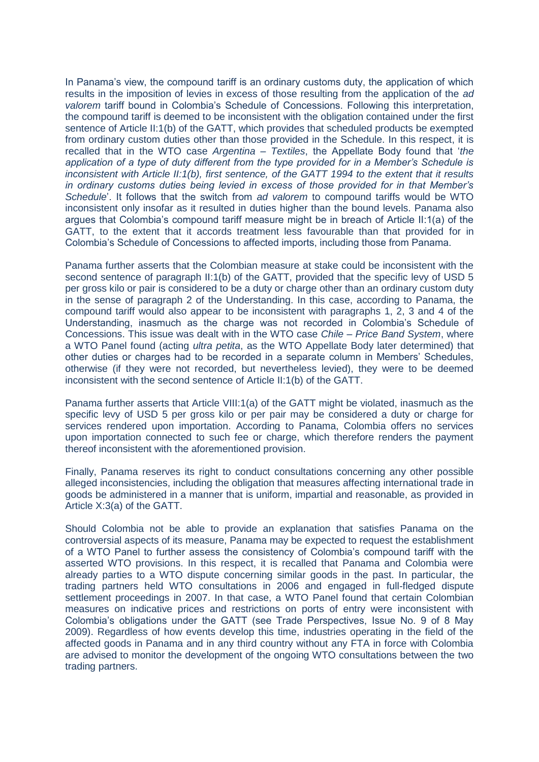In Panama's view, the compound tariff is an ordinary customs duty, the application of which results in the imposition of levies in excess of those resulting from the application of the *ad valorem* tariff bound in Colombia's Schedule of Concessions. Following this interpretation, the compound tariff is deemed to be inconsistent with the obligation contained under the first sentence of Article II:1(b) of the GATT, which provides that scheduled products be exempted from ordinary custom duties other than those provided in the Schedule. In this respect, it is recalled that in the WTO case *Argentina – Textiles*, the Appellate Body found that '*the application of a type of duty different from the type provided for in a Member's Schedule is inconsistent with Article II:1(b), first sentence, of the GATT 1994 to the extent that it results in ordinary customs duties being levied in excess of those provided for in that Member's Schedule*'. It follows that the switch from *ad valorem* to compound tariffs would be WTO inconsistent only insofar as it resulted in duties higher than the bound levels. Panama also argues that Colombia's compound tariff measure might be in breach of Article II:1(a) of the GATT, to the extent that it accords treatment less favourable than that provided for in Colombia's Schedule of Concessions to affected imports, including those from Panama.

Panama further asserts that the Colombian measure at stake could be inconsistent with the second sentence of paragraph II:1(b) of the GATT, provided that the specific levy of USD 5 per gross kilo or pair is considered to be a duty or charge other than an ordinary custom duty in the sense of paragraph 2 of the Understanding. In this case, according to Panama, the compound tariff would also appear to be inconsistent with paragraphs 1, 2, 3 and 4 of the Understanding, inasmuch as the charge was not recorded in Colombia's Schedule of Concessions. This issue was dealt with in the WTO case *Chile – Price Band System*, where a WTO Panel found (acting *ultra petita*, as the WTO Appellate Body later determined) that other duties or charges had to be recorded in a separate column in Members' Schedules, otherwise (if they were not recorded, but nevertheless levied), they were to be deemed inconsistent with the second sentence of Article II:1(b) of the GATT.

Panama further asserts that Article VIII:1(a) of the GATT might be violated, inasmuch as the specific levy of USD 5 per gross kilo or per pair may be considered a duty or charge for services rendered upon importation. According to Panama, Colombia offers no services upon importation connected to such fee or charge, which therefore renders the payment thereof inconsistent with the aforementioned provision.

Finally, Panama reserves its right to conduct consultations concerning any other possible alleged inconsistencies, including the obligation that measures affecting international trade in goods be administered in a manner that is uniform, impartial and reasonable, as provided in Article X:3(a) of the GATT.

Should Colombia not be able to provide an explanation that satisfies Panama on the controversial aspects of its measure, Panama may be expected to request the establishment of a WTO Panel to further assess the consistency of Colombia's compound tariff with the asserted WTO provisions. In this respect, it is recalled that Panama and Colombia were already parties to a WTO dispute concerning similar goods in the past. In particular, the trading partners held WTO consultations in 2006 and engaged in full-fledged dispute settlement proceedings in 2007. In that case, a WTO Panel found that certain Colombian measures on indicative prices and restrictions on ports of entry were inconsistent with Colombia's obligations under the GATT (see Trade Perspectives, Issue No. 9 of 8 May 2009). Regardless of how events develop this time, industries operating in the field of the affected goods in Panama and in any third country without any FTA in force with Colombia are advised to monitor the development of the ongoing WTO consultations between the two trading partners.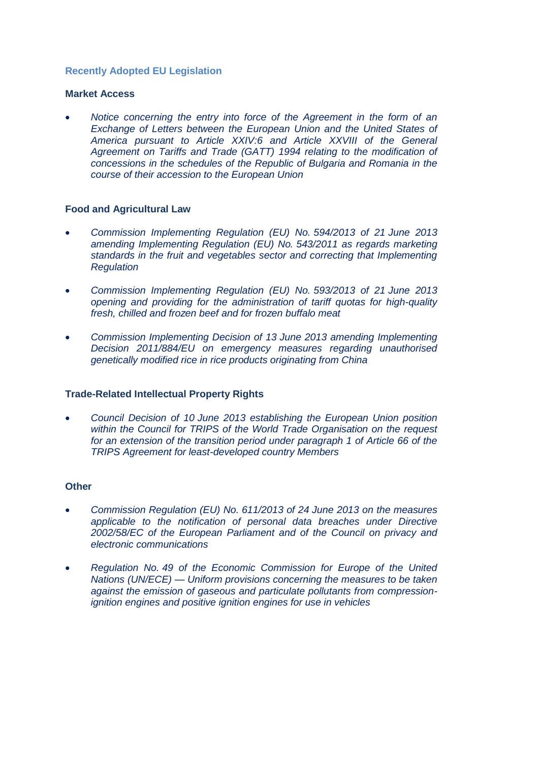## **Recently Adopted EU Legislation**

### **Market Access**

 *[Notice concerning the entry into force of the Agreement in the form of an](http://eur-lex.europa.eu/LexUriServ/LexUriServ.do?uri=OJ:L:2013:173:0001:0001:EN:PDF)  Exchange [of Letters between the European Union and the United States of](http://eur-lex.europa.eu/LexUriServ/LexUriServ.do?uri=OJ:L:2013:173:0001:0001:EN:PDF)  [America pursuant to Article XXIV:6 and Article XXVIII of the General](http://eur-lex.europa.eu/LexUriServ/LexUriServ.do?uri=OJ:L:2013:173:0001:0001:EN:PDF)  [Agreement on Tariffs and Trade \(GATT\) 1994 relating to the modification of](http://eur-lex.europa.eu/LexUriServ/LexUriServ.do?uri=OJ:L:2013:173:0001:0001:EN:PDF)  [concessions in the schedules of the Republic of Bulgaria and Romania in the](http://eur-lex.europa.eu/LexUriServ/LexUriServ.do?uri=OJ:L:2013:173:0001:0001:EN:PDF)  [course of their accession to the European Union](http://eur-lex.europa.eu/LexUriServ/LexUriServ.do?uri=OJ:L:2013:173:0001:0001:EN:PDF)*

### **Food and Agricultural Law**

- *[Commission Implementing Regulation \(EU\) No.](http://eur-lex.europa.eu/LexUriServ/LexUriServ.do?uri=OJ:L:2013:170:0043:0059:EN:PDF) 594/2013 of 21 June 2013 [amending Implementing Regulation \(EU\) No.](http://eur-lex.europa.eu/LexUriServ/LexUriServ.do?uri=OJ:L:2013:170:0043:0059:EN:PDF) 543/2011 as regards marketing [standards in the fruit and vegetables sector and correcting that Implementing](http://eur-lex.europa.eu/LexUriServ/LexUriServ.do?uri=OJ:L:2013:170:0043:0059:EN:PDF)  [Regulation](http://eur-lex.europa.eu/LexUriServ/LexUriServ.do?uri=OJ:L:2013:170:0043:0059:EN:PDF)*
- *[Commission Implementing Regulation \(EU\) No.](http://eur-lex.europa.eu/LexUriServ/LexUriServ.do?uri=OJ:L:2013:170:0032:0042:EN:PDF) 593/2013 of 21 June 2013 [opening and providing for the administration of tariff quotas for high-quality](http://eur-lex.europa.eu/LexUriServ/LexUriServ.do?uri=OJ:L:2013:170:0032:0042:EN:PDF)  [fresh, chilled and frozen beef and for frozen buffalo meat](http://eur-lex.europa.eu/LexUriServ/LexUriServ.do?uri=OJ:L:2013:170:0032:0042:EN:PDF)*
- *[Commission Implementing Decision of 13](http://eur-lex.europa.eu/LexUriServ/LexUriServ.do?uri=OJ:L:2013:162:0010:0014:EN:PDF) June 2013 amending Implementing [Decision 2011/884/EU on emergency measures regarding unauthorised](http://eur-lex.europa.eu/LexUriServ/LexUriServ.do?uri=OJ:L:2013:162:0010:0014:EN:PDF)  [genetically modified rice in rice products originating from China](http://eur-lex.europa.eu/LexUriServ/LexUriServ.do?uri=OJ:L:2013:162:0010:0014:EN:PDF)*

## **Trade-Related Intellectual Property Rights**

 *Council Decision of 10 [June 2013 establishing the European Union position](http://eur-lex.europa.eu/LexUriServ/LexUriServ.do?uri=OJ:L:2013:162:0001:0002:EN:PDF)  [within the Council for TRIPS of the World Trade Organisation on the request](http://eur-lex.europa.eu/LexUriServ/LexUriServ.do?uri=OJ:L:2013:162:0001:0002:EN:PDF)  [for an extension of the transition period under paragraph 1 of Article 66 of the](http://eur-lex.europa.eu/LexUriServ/LexUriServ.do?uri=OJ:L:2013:162:0001:0002:EN:PDF)  [TRIPS Agreement for least-developed country Members](http://eur-lex.europa.eu/LexUriServ/LexUriServ.do?uri=OJ:L:2013:162:0001:0002:EN:PDF)*

#### **Other**

- *[Commission Regulation \(EU\) No.](http://eur-lex.europa.eu/LexUriServ/LexUriServ.do?uri=OJ:L:2013:173:0002:0008:EN:PDF) 611/2013 of 24 June 2013 on the measures [applicable to the notification of personal data breaches under Directive](http://eur-lex.europa.eu/LexUriServ/LexUriServ.do?uri=OJ:L:2013:173:0002:0008:EN:PDF)  [2002/58/EC of the European Parliament and of the Council](http://eur-lex.europa.eu/LexUriServ/LexUriServ.do?uri=OJ:L:2013:173:0002:0008:EN:PDF) on privacy and [electronic communications](http://eur-lex.europa.eu/LexUriServ/LexUriServ.do?uri=OJ:L:2013:173:0002:0008:EN:PDF)*
- *Regulation No. [49 of the Economic Commission for Europe of the United](http://eur-lex.europa.eu/LexUriServ/LexUriServ.do?uri=OJ:L:2013:171:0001:0390:EN:PDF)  Nations (UN/ECE) — [Uniform provisions concerning the measures to be taken](http://eur-lex.europa.eu/LexUriServ/LexUriServ.do?uri=OJ:L:2013:171:0001:0390:EN:PDF)  [against the emission of gaseous and particulate pollutants from compression](http://eur-lex.europa.eu/LexUriServ/LexUriServ.do?uri=OJ:L:2013:171:0001:0390:EN:PDF)[ignition engines and positive ignition engines for use in vehicles](http://eur-lex.europa.eu/LexUriServ/LexUriServ.do?uri=OJ:L:2013:171:0001:0390:EN:PDF)*